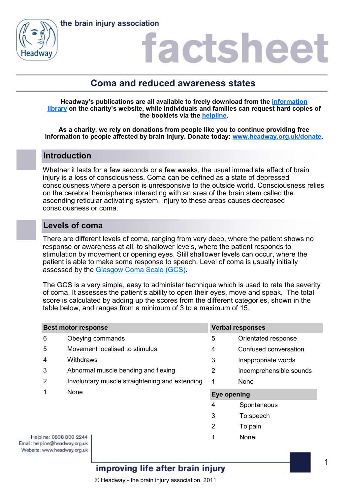

# actshee

# **Coma and reduced awareness states**

**Headway's publications are all available to freely download from the [information](https://www.headway.org.uk/about-brain-injury/individuals/information-library/)  [library](https://www.headway.org.uk/about-brain-injury/individuals/information-library/) on the charity's website, while individuals and families can request hard copies of the booklets via the [helpline.](https://www.headway.org.uk/supporting-you/helpline/)**

**As a charity, we rely on donations from people like you to continue providing free information to people affected by brain injury. Donate today: [www.headway.org.uk/donate.](http://www.headway.org.uk/donate)**

### **Introduction**

Whether it lasts for a few seconds or a few weeks, the usual immediate effect of brain injury is a loss of consciousness. Coma can be defined as a state of depressed consciousness where a person is unresponsive to the outside world. Consciousness relies on the cerebral hemispheres interacting with an area of the brain stem called the ascending reticular activating system. Injury to these areas causes decreased consciousness or coma.

### **Levels of coma**

There are different levels of coma, ranging from very deep, where the patient shows no response or awareness at all, to shallower levels, where the patient responds to stimulation by movement or opening eyes. Still shallower levels can occur, where the patient is able to make some response to speech. Level of coma is usually initially assessed by the [Glasgow Coma Scale \(GCS\).](https://www.headway.org.uk/about-brain-injury/individuals/effects-of-brain-injury/coma-and-reduced-awareness-states/glasgow-coma-scale/)

The GCS is a very simple, easy to administer technique which is used to rate the severity of coma. It assesses the patient's ability to open their eyes, move and speak. The total score is calculated by adding up the scores from the different categories, shown in the table below, and ranges from a minimum of 3 to a maximum of 15.

| <b>Best motor response</b> |                                                | <b>Verbal responses</b> |                         |
|----------------------------|------------------------------------------------|-------------------------|-------------------------|
| 6                          | Obeying commands                               | 5                       | Orientated response     |
| 5                          | Movement localised to stimulus                 | 4                       | Confused conversation   |
| 4                          | Withdraws                                      | 3                       | Inappropriate words     |
| 3                          | Abnormal muscle bending and flexing            | 2                       | Incomprehensible sounds |
| 2                          | Involuntary muscle straightening and extending | 1                       | None                    |
| 1                          | None                                           | Eye opening             |                         |
|                            |                                                | 4                       | Spontaneous             |
|                            |                                                | 3                       | To speech               |
|                            |                                                | 2                       | To pain                 |
| pline: 0808 800 2244       |                                                |                         | None                    |

Helpline: 0808 800 2244 Email: helpline@headway.org.uk Website: www.headway.org.uk

## improving life after brain injury

© Headway - the brain injury association, 2011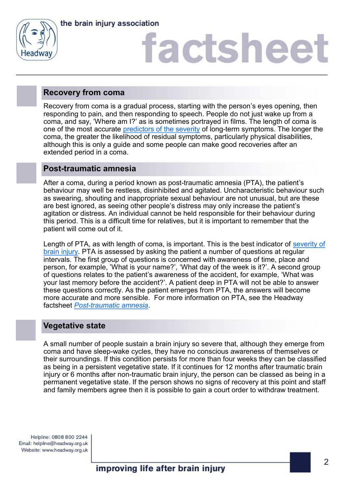

the brain injury association

# **factshee**

### **Recovery from coma**

Recovery from coma is a gradual process, starting with the person's eyes opening, then responding to pain, and then responding to speech. People do not just wake up from a coma, and say, 'Where am I?' as is sometimes portrayed in films. The length of coma is one of the most accurate [predictors of the severity](https://www.headway.org.uk/about-brain-injury/individuals/types-of-brain-injury/traumatic-brain-injury/how-severe-is-the-brain-injury/) of long-term symptoms. The longer the coma, the greater the likelihood of residual symptoms, particularly physical disabilities, although this is only a guide and some people can make good recoveries after an extended period in a coma.

### **Post-traumatic amnesia**

After a coma, during a period known as post-traumatic amnesia (PTA), the patient's behaviour may well be restless, disinhibited and agitated. Uncharacteristic behaviour such as swearing, shouting and inappropriate sexual behaviour are not unusual, but are these are best ignored, as seeing other people's distress may only increase the patient's agitation or distress. An individual cannot be held responsible for their behaviour during this period. This is a difficult time for relatives, but it is important to remember that the patient will come out of it.

Length of PTA, as with length of coma, is important. This is the best indicator of severity of [brain injury.](https://www.headway.org.uk/about-brain-injury/individuals/types-of-brain-injury/traumatic-brain-injury/how-severe-is-the-brain-injury/) PTA is assessed by asking the patient a number of questions at regular intervals. The first group of questions is concerned with awareness of time, place and person, for example, 'What is your name?', 'What day of the week is it?'. A second group of questions relates to the patient's awareness of the accident, for example, 'What was your last memory before the accident?'. A patient deep in PTA will not be able to answer these questions correctly. As the patient emerges from PTA, the answers will become more accurate and more sensible. For more information on PTA, see the Headway factsheet *Post-[traumatic amnesia](https://www.headway.org.uk/media/2815/post-traumatic-amnesia-factsheet.pdf)*.

### **Vegetative state**

A small number of people sustain a brain injury so severe that, although they emerge from coma and have sleep-wake cycles, they have no conscious awareness of themselves or their surroundings. If this condition persists for more than four weeks they can be classified as being in a persistent vegetative state. If it continues for 12 months after traumatic brain injury or 6 months after non-traumatic brain injury, the person can be classed as being in a permanent vegetative state. If the person shows no signs of recovery at this point and staff and family members agree then it is possible to gain a court order to withdraw treatment.